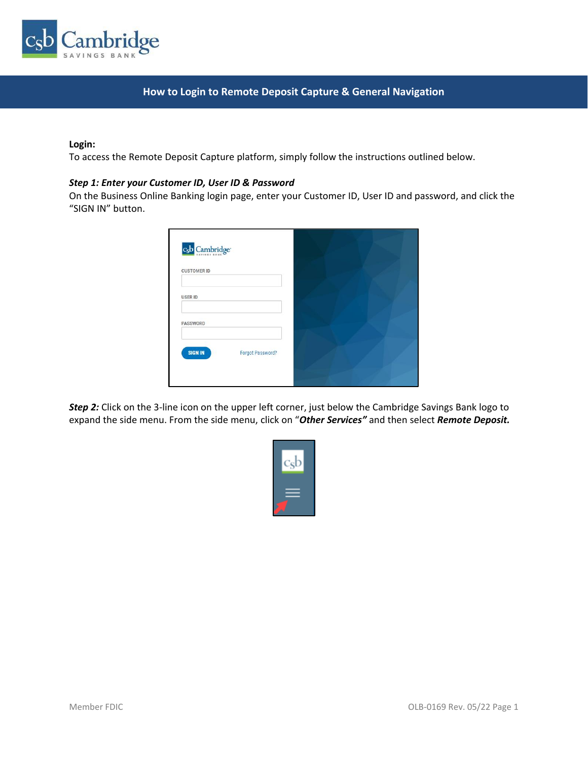

# **How to Login to Remote Deposit Capture & General Navigation**

### **Login:**

To access the Remote Deposit Capture platform, simply follow the instructions outlined below.

## *Step 1: Enter your Customer ID, User ID & Password*

On the Business Online Banking login page, enter your Customer ID, User ID and password, and click the "SIGN IN" button.

| c <sub>s</sub> b Cambridge <sup>®</sup> |  |
|-----------------------------------------|--|
| <b>CUSTOMER ID</b>                      |  |
| <b>USER ID</b>                          |  |
| PASSWORD                                |  |
| <b>SIGN IN</b><br>Forgot Password?      |  |
|                                         |  |

**Step 2:** Click on the 3-line icon on the upper left corner, just below the Cambridge Savings Bank logo to expand the side menu. From the side menu, click on "*Other Services"* and then select *Remote Deposit.*

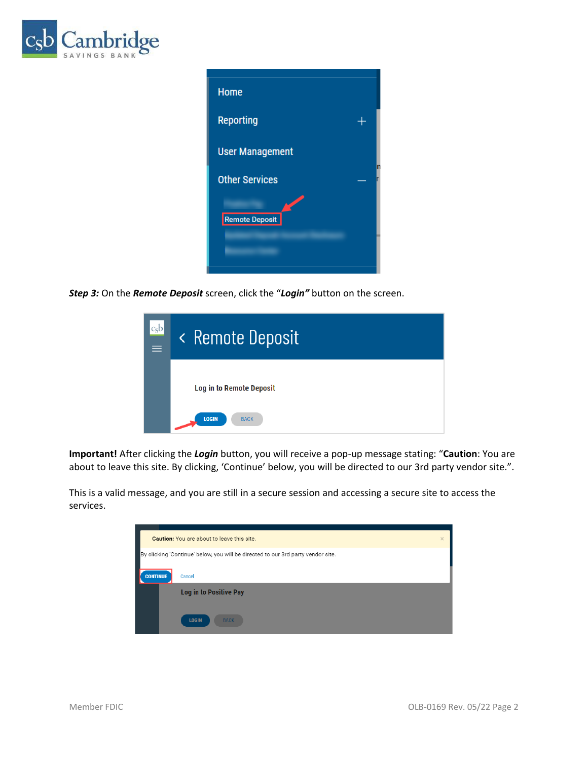

| <b>Home</b>            |  |
|------------------------|--|
| <b>Reporting</b>       |  |
| <b>User Management</b> |  |
| <b>Other Services</b>  |  |
| Remote Deposit         |  |
|                        |  |

*Step 3:* On the *Remote Deposit* screen, click the "*Login"* button on the screen.



**Important!** After clicking the *Login* button, you will receive a pop-up message stating: "**Caution**: You are about to leave this site. By clicking, 'Continue' below, you will be directed to our 3rd party vendor site.".

This is a valid message, and you are still in a secure session and accessing a secure site to access the services.

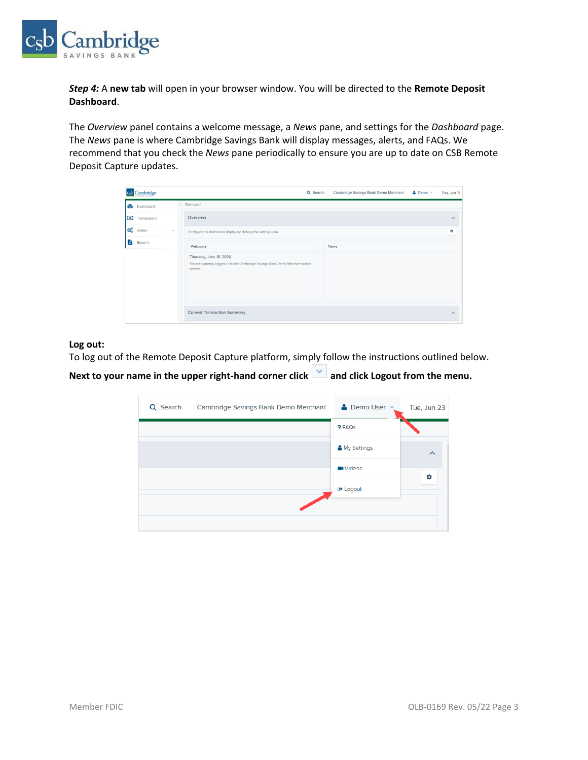

*Step 4:* A **new tab** will open in your browser window. You will be directed to the **Remote Deposit Dashboard**.

The *Overview* panel contains a welcome message, a *News* pane, and settings for the *Dashboard* page. The *News* pane is where Cambridge Savings Bank will display messages, alerts, and FAQs. We recommend that you check the *News* pane periodically to ensure you are up to date on CSB Remote Deposit Capture updates.

| c <sub>s</sub> b | Cambridge <sup>-</sup> |               |                                                                                                                                 | Q Search | Cambridge Savings Bank Demo Merchant | $\rho$ Demo $\vee$ | Thu, Jun 18             |
|------------------|------------------------|---------------|---------------------------------------------------------------------------------------------------------------------------------|----------|--------------------------------------|--------------------|-------------------------|
|                  | <b>B</b> Dashboard     |               | Dashboard                                                                                                                       |          |                                      |                    |                         |
| $\circ$          | Transactions           |               | Overview                                                                                                                        |          |                                      |                    | $\widehat{\phantom{a}}$ |
| <b>og</b>        | Admin                  | $\mathcal{L}$ | Configure the dashboard display by clicking the settings icon.                                                                  |          |                                      |                    | ۰                       |
| 昏                | Reports                |               | Welcome<br>Thursday, June 18, 2020<br>You are currently logged in to the Cambridge Savings Bank Demo Merchant online<br>system. |          | <b>News</b>                          |                    |                         |
|                  |                        |               | <b>Current Transaction Summary</b>                                                                                              |          |                                      |                    | $\sim$                  |

# **Log out:**

To log out of the Remote Deposit Capture platform, simply follow the instructions outlined below.

Next to your name in the upper right-hand corner click  $\vert \vee \vert$  and click Logout from the menu.

| Q Search | Cambridge Savings Bank Demo Merchant | • Demo User v   | Tue, Jun 23 |
|----------|--------------------------------------|-----------------|-------------|
|          |                                      | ? FAQs          |             |
|          |                                      | & My Settings   | $\wedge$    |
|          |                                      | <b>N</b> Videos | ۰           |
|          |                                      | <b>■ Logout</b> |             |
|          |                                      |                 |             |
|          |                                      |                 |             |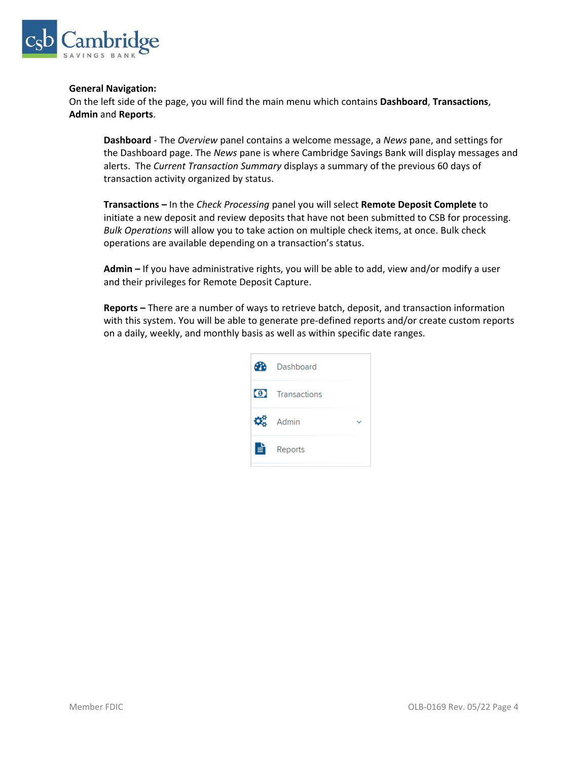

#### **General Navigation:**

On the left side of the page, you will find the main menu which contains **Dashboard**, **Transactions**, **Admin** and **Reports**.

**Dashboard** - The *Overview* panel contains a welcome message, a *News* pane, and settings for the Dashboard page. The *News* pane is where Cambridge Savings Bank will display messages and alerts. The *Current Transaction Summary* displays a summary of the previous 60 days of transaction activity organized by status.

**Transactions –** In the *Check Processing* panel you will select **Remote Deposit Complete** to initiate a new deposit and review deposits that have not been submitted to CSB for processing. *Bulk Operations* will allow you to take action on multiple check items, at once. Bulk check operations are available depending on a transaction's status.

**Admin –** If you have administrative rights, you will be able to add, view and/or modify a user and their privileges for Remote Deposit Capture.

**Reports –** There are a number of ways to retrieve batch, deposit, and transaction information with this system. You will be able to generate pre-defined reports and/or create custom reports on a daily, weekly, and monthly basis as well as within specific date ranges.

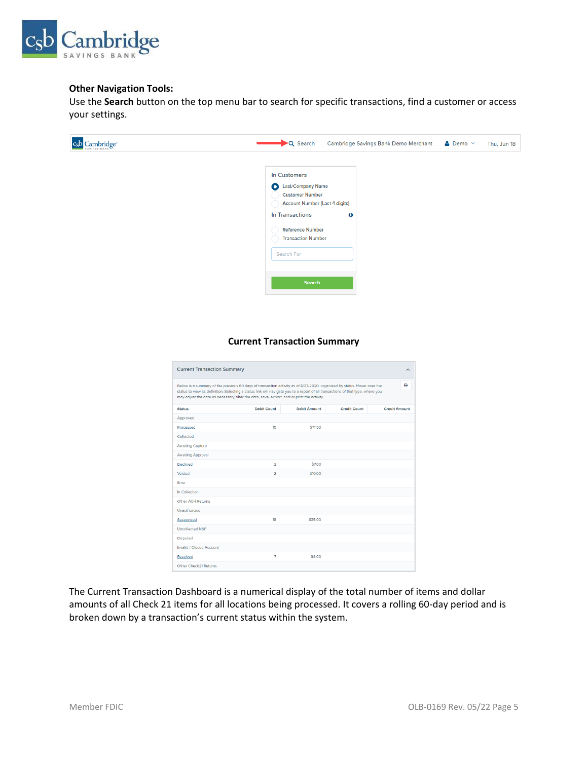

# **Other Navigation Tools:**

Use the **Search** button on the top menu bar to search for specific transactions, find a customer or access your settings.



# **Current Transaction Summary**

| <b>Current Transaction Summary</b><br>ᄉ                                                                                                                                                                                                                                                                                                                    |                    |                     |                     |                      |
|------------------------------------------------------------------------------------------------------------------------------------------------------------------------------------------------------------------------------------------------------------------------------------------------------------------------------------------------------------|--------------------|---------------------|---------------------|----------------------|
| Below is a summary of the previous 60 days of transaction activity as of 4/27/2020, organized by status. Hover over the<br>status to view its definition. Selecting a status link will navigate you to a report of all transactions of that type, where you<br>may adjust the date as necessary, filter the data, save, export, and/or print the activity. |                    |                     |                     | ۵                    |
| <b>Status</b>                                                                                                                                                                                                                                                                                                                                              | <b>Debit Count</b> | <b>Debit Amount</b> | <b>Credit Count</b> | <b>Credit Amount</b> |
| Approved                                                                                                                                                                                                                                                                                                                                                   |                    |                     |                     |                      |
| Processed                                                                                                                                                                                                                                                                                                                                                  | 15                 | \$71.50             |                     |                      |
| Collected                                                                                                                                                                                                                                                                                                                                                  |                    |                     |                     |                      |
| <b>Awaiting Capture</b>                                                                                                                                                                                                                                                                                                                                    |                    |                     |                     |                      |
| <b>Awaiting Approval</b>                                                                                                                                                                                                                                                                                                                                   |                    |                     |                     |                      |
| Declined                                                                                                                                                                                                                                                                                                                                                   | $\overline{2}$     | \$7.00              |                     |                      |
| Voided                                                                                                                                                                                                                                                                                                                                                     | $\overline{a}$     | \$10.00             |                     |                      |
| Error                                                                                                                                                                                                                                                                                                                                                      |                    |                     |                     |                      |
| In Collection                                                                                                                                                                                                                                                                                                                                              |                    |                     |                     |                      |
| Other ACH Returns                                                                                                                                                                                                                                                                                                                                          |                    |                     |                     |                      |
| Unauthorized                                                                                                                                                                                                                                                                                                                                               |                    |                     |                     |                      |
| Suspended                                                                                                                                                                                                                                                                                                                                                  | 18                 | \$35.00             |                     |                      |
| <b>Uncollected NSF</b>                                                                                                                                                                                                                                                                                                                                     |                    |                     |                     |                      |
| <b>Disputed</b>                                                                                                                                                                                                                                                                                                                                            |                    |                     |                     |                      |
| Invalid / Closed Account                                                                                                                                                                                                                                                                                                                                   |                    |                     |                     |                      |
| Resolved                                                                                                                                                                                                                                                                                                                                                   | $\overline{7}$     | \$8.00              |                     |                      |
| Other Check21 Returns                                                                                                                                                                                                                                                                                                                                      |                    |                     |                     |                      |

The Current Transaction Dashboard is a numerical display of the total number of items and dollar amounts of all Check 21 items for all locations being processed. It covers a rolling 60-day period and is broken down by a transaction's current status within the system.